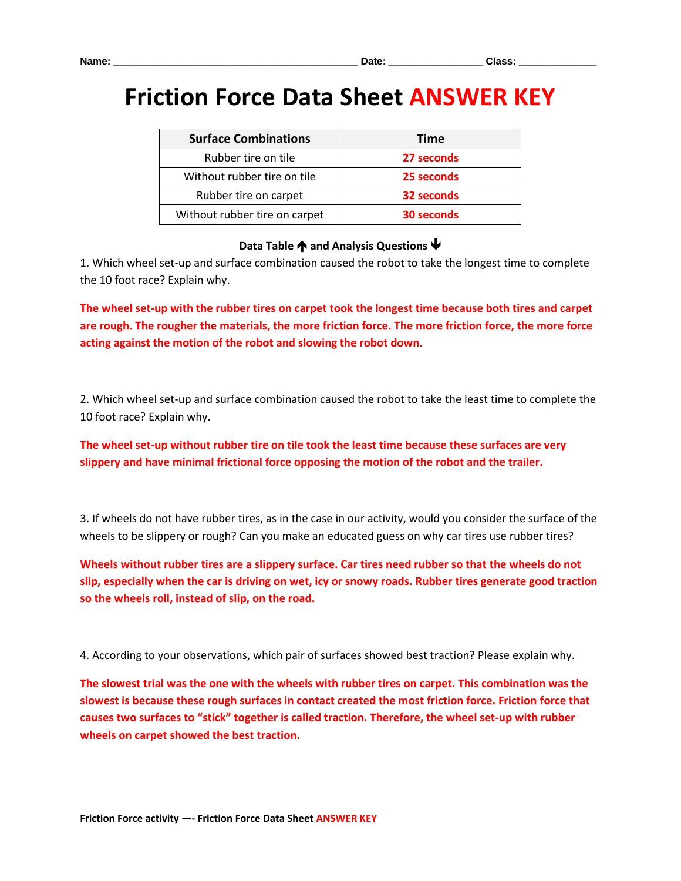## **Friction Force Data Sheet ANSWER KEY**

| <b>Surface Combinations</b>   | Time       |  |
|-------------------------------|------------|--|
| Rubber tire on tile           | 27 seconds |  |
| Without rubber tire on tile   | 25 seconds |  |
| Rubber tire on carpet         | 32 seconds |  |
| Without rubber tire on carpet | 30 seconds |  |

## **Data Table**  $\spadesuit$  **and Analysis Questions**  $\clubsuit$

1. Which wheel set-up and surface combination caused the robot to take the longest time to complete the 10 foot race? Explain why.

**The wheel set-up with the rubber tires on carpet took the longest time because both tires and carpet are rough. The rougher the materials, the more friction force. The more friction force, the more force acting against the motion of the robot and slowing the robot down.** 

2. Which wheel set-up and surface combination caused the robot to take the least time to complete the 10 foot race? Explain why.

**The wheel set-up without rubber tire on tile took the least time because these surfaces are very slippery and have minimal frictional force opposing the motion of the robot and the trailer.** 

3. If wheels do not have rubber tires, as in the case in our activity, would you consider the surface of the wheels to be slippery or rough? Can you make an educated guess on why car tires use rubber tires?

**Wheels without rubber tires are a slippery surface. Car tires need rubber so that the wheels do not slip, especially when the car is driving on wet, icy or snowy roads. Rubber tires generate good traction so the wheels roll, instead of slip, on the road.**

4. According to your observations, which pair of surfaces showed best traction? Please explain why.

**The slowest trial was the one with the wheels with rubber tires on carpet. This combination was the slowest is because these rough surfaces in contact created the most friction force. Friction force that causes two surfaces to "stick" together is called traction. Therefore, the wheel set-up with rubber wheels on carpet showed the best traction.**